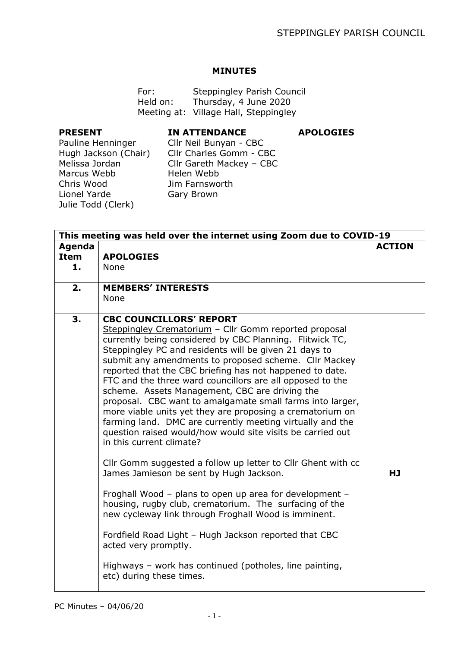## **MINUTES**

For: Steppingley Parish Council Held on: Thursday, 4 June 2020 Meeting at: Village Hall, Steppingley

## **PRESENT**

**IN ATTENDANCE**

**APOLOGIES**

Pauline Henninger Hugh Jackson (Chair) Melissa Jordan Marcus Webb Chris Wood Lionel Yarde Julie Todd (Clerk)

Cllr Neil Bunyan - CBC Cllr Charles Gomm - CBC Cllr Gareth Mackey – CBC Helen Webb Jim Farnsworth Gary Brown

| This meeting was held over the internet using Zoom due to COVID-19 |                                                                                                                                                                                                                                                                                                                                                                                                                                                                                                                                                                                                                                                                                                                                   |               |  |  |
|--------------------------------------------------------------------|-----------------------------------------------------------------------------------------------------------------------------------------------------------------------------------------------------------------------------------------------------------------------------------------------------------------------------------------------------------------------------------------------------------------------------------------------------------------------------------------------------------------------------------------------------------------------------------------------------------------------------------------------------------------------------------------------------------------------------------|---------------|--|--|
| Agenda<br><b>Item</b><br>1.                                        | <b>APOLOGIES</b><br><b>None</b>                                                                                                                                                                                                                                                                                                                                                                                                                                                                                                                                                                                                                                                                                                   | <b>ACTION</b> |  |  |
|                                                                    | <b>MEMBERS' INTERESTS</b>                                                                                                                                                                                                                                                                                                                                                                                                                                                                                                                                                                                                                                                                                                         |               |  |  |
| 2.                                                                 | <b>None</b>                                                                                                                                                                                                                                                                                                                                                                                                                                                                                                                                                                                                                                                                                                                       |               |  |  |
| 3.                                                                 | <b>CBC COUNCILLORS' REPORT</b><br>Steppingley Crematorium - Cllr Gomm reported proposal<br>currently being considered by CBC Planning. Flitwick TC,<br>Steppingley PC and residents will be given 21 days to<br>submit any amendments to proposed scheme. Cllr Mackey<br>reported that the CBC briefing has not happened to date.<br>FTC and the three ward councillors are all opposed to the<br>scheme. Assets Management, CBC are driving the<br>proposal. CBC want to amalgamate small farms into larger,<br>more viable units yet they are proposing a crematorium on<br>farming land. DMC are currently meeting virtually and the<br>question raised would/how would site visits be carried out<br>in this current climate? |               |  |  |
|                                                                    | Cllr Gomm suggested a follow up letter to Cllr Ghent with cc<br>James Jamieson be sent by Hugh Jackson.                                                                                                                                                                                                                                                                                                                                                                                                                                                                                                                                                                                                                           | <b>HJ</b>     |  |  |
|                                                                    | Froghall Wood - plans to open up area for development -<br>housing, rugby club, crematorium. The surfacing of the<br>new cycleway link through Froghall Wood is imminent.                                                                                                                                                                                                                                                                                                                                                                                                                                                                                                                                                         |               |  |  |
|                                                                    | Fordfield Road Light - Hugh Jackson reported that CBC<br>acted very promptly.                                                                                                                                                                                                                                                                                                                                                                                                                                                                                                                                                                                                                                                     |               |  |  |
|                                                                    | Highways – work has continued (potholes, line painting,<br>etc) during these times.                                                                                                                                                                                                                                                                                                                                                                                                                                                                                                                                                                                                                                               |               |  |  |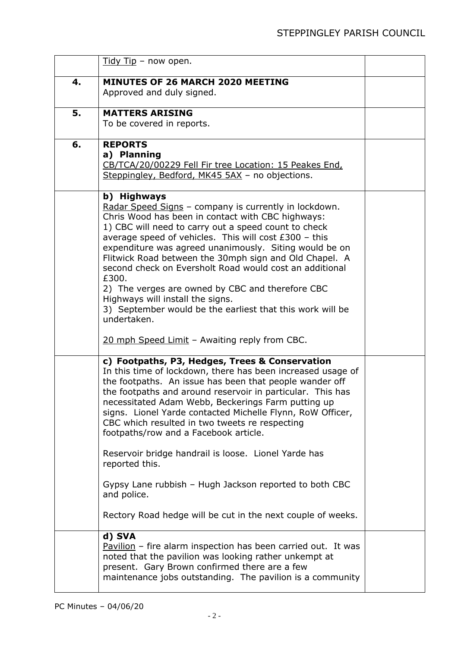|    | $Tidy Tip - now open.$                                                                                                                                                                                                                                                                                                                                                                                                                                                                                                                                                                                                                                                  |  |
|----|-------------------------------------------------------------------------------------------------------------------------------------------------------------------------------------------------------------------------------------------------------------------------------------------------------------------------------------------------------------------------------------------------------------------------------------------------------------------------------------------------------------------------------------------------------------------------------------------------------------------------------------------------------------------------|--|
| 4. | <b>MINUTES OF 26 MARCH 2020 MEETING</b><br>Approved and duly signed.                                                                                                                                                                                                                                                                                                                                                                                                                                                                                                                                                                                                    |  |
| 5. | <b>MATTERS ARISING</b><br>To be covered in reports.                                                                                                                                                                                                                                                                                                                                                                                                                                                                                                                                                                                                                     |  |
| 6. | <b>REPORTS</b><br>a) Planning<br>CB/TCA/20/00229 Fell Fir tree Location: 15 Peakes End,<br>Steppingley, Bedford, MK45 5AX - no objections.                                                                                                                                                                                                                                                                                                                                                                                                                                                                                                                              |  |
|    | b) Highways<br>Radar Speed Signs - company is currently in lockdown.<br>Chris Wood has been in contact with CBC highways:<br>1) CBC will need to carry out a speed count to check<br>average speed of vehicles. This will cost £300 - this<br>expenditure was agreed unanimously. Siting would be on<br>Flitwick Road between the 30mph sign and Old Chapel. A<br>second check on Eversholt Road would cost an additional<br>£300.<br>2) The verges are owned by CBC and therefore CBC<br>Highways will install the signs.<br>3) September would be the earliest that this work will be<br>undertaken.<br>20 mph Speed Limit - Awaiting reply from CBC.                 |  |
|    | c) Footpaths, P3, Hedges, Trees & Conservation<br>In this time of lockdown, there has been increased usage of<br>the footpaths. An issue has been that people wander off<br>the footpaths and around reservoir in particular. This has<br>necessitated Adam Webb, Beckerings Farm putting up<br>signs. Lionel Yarde contacted Michelle Flynn, RoW Officer,<br>CBC which resulted in two tweets re respecting<br>footpaths/row and a Facebook article.<br>Reservoir bridge handrail is loose. Lionel Yarde has<br>reported this.<br>Gypsy Lane rubbish - Hugh Jackson reported to both CBC<br>and police.<br>Rectory Road hedge will be cut in the next couple of weeks. |  |
|    | d) SVA<br>Pavilion - fire alarm inspection has been carried out. It was<br>noted that the pavilion was looking rather unkempt at<br>present. Gary Brown confirmed there are a few<br>maintenance jobs outstanding. The pavilion is a community                                                                                                                                                                                                                                                                                                                                                                                                                          |  |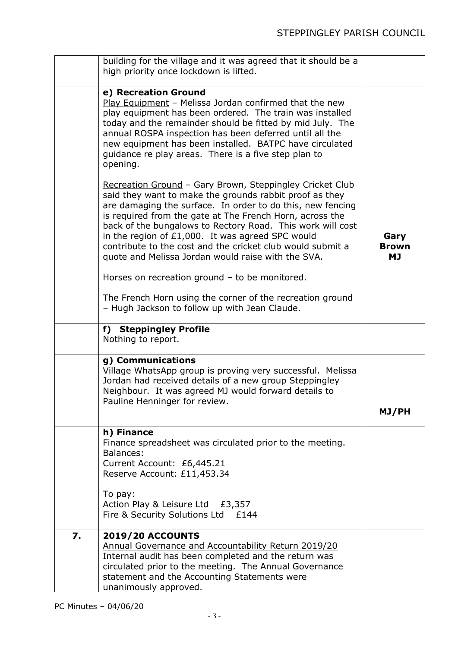|    | building for the village and it was agreed that it should be a<br>high priority once lockdown is lifted.                                                                                                                                                                                                                                                                                                                                                                            |                                   |
|----|-------------------------------------------------------------------------------------------------------------------------------------------------------------------------------------------------------------------------------------------------------------------------------------------------------------------------------------------------------------------------------------------------------------------------------------------------------------------------------------|-----------------------------------|
|    |                                                                                                                                                                                                                                                                                                                                                                                                                                                                                     |                                   |
|    | e) Recreation Ground<br>Play Equipment - Melissa Jordan confirmed that the new<br>play equipment has been ordered. The train was installed<br>today and the remainder should be fitted by mid July. The<br>annual ROSPA inspection has been deferred until all the<br>new equipment has been installed. BATPC have circulated<br>guidance re play areas. There is a five step plan to<br>opening.                                                                                   |                                   |
|    | Recreation Ground - Gary Brown, Steppingley Cricket Club<br>said they want to make the grounds rabbit proof as they<br>are damaging the surface. In order to do this, new fencing<br>is required from the gate at The French Horn, across the<br>back of the bungalows to Rectory Road. This work will cost<br>in the region of £1,000. It was agreed SPC would<br>contribute to the cost and the cricket club would submit a<br>quote and Melissa Jordan would raise with the SVA. | Gary<br><b>Brown</b><br><b>MJ</b> |
|    | Horses on recreation ground - to be monitored.                                                                                                                                                                                                                                                                                                                                                                                                                                      |                                   |
|    | The French Horn using the corner of the recreation ground<br>- Hugh Jackson to follow up with Jean Claude.                                                                                                                                                                                                                                                                                                                                                                          |                                   |
|    | f) Steppingley Profile<br>Nothing to report.                                                                                                                                                                                                                                                                                                                                                                                                                                        |                                   |
|    | g) Communications<br>Village WhatsApp group is proving very successful. Melissa<br>Jordan had received details of a new group Steppingley<br>Neighbour. It was agreed MJ would forward details to<br>Pauline Henninger for review.                                                                                                                                                                                                                                                  | MJ/PH                             |
|    | h) Finance                                                                                                                                                                                                                                                                                                                                                                                                                                                                          |                                   |
|    | Finance spreadsheet was circulated prior to the meeting.<br>Balances:<br>Current Account: £6,445.21<br>Reserve Account: £11,453.34                                                                                                                                                                                                                                                                                                                                                  |                                   |
|    | To pay:<br>Action Play & Leisure Ltd £3,357<br>Fire & Security Solutions Ltd £144                                                                                                                                                                                                                                                                                                                                                                                                   |                                   |
| 7. | <b>2019/20 ACCOUNTS</b><br>Annual Governance and Accountability Return 2019/20<br>Internal audit has been completed and the return was<br>circulated prior to the meeting. The Annual Governance<br>statement and the Accounting Statements were<br>unanimously approved.                                                                                                                                                                                                           |                                   |